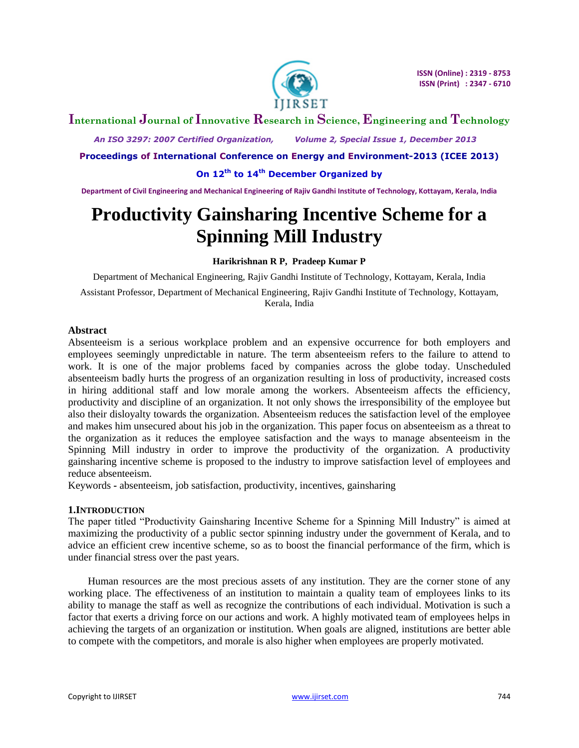

# **International Journal of Innovative Research in Science, Engineering and Technology**

 *An ISO 3297: 2007 Certified Organization, Volume 2, Special Issue 1, December 2013*

**Proceedings of International Conference on Energy and Environment-2013 (ICEE 2013)**

**On 12th to 14th December Organized by**

**Department of Civil Engineering and Mechanical Engineering of Rajiv Gandhi Institute of Technology, Kottayam, Kerala, India**

# **Productivity Gainsharing Incentive Scheme for a Spinning Mill Industry**

**Harikrishnan R P, Pradeep Kumar P**

Department of Mechanical Engineering, Rajiv Gandhi Institute of Technology, Kottayam, Kerala, India

Assistant Professor, Department of Mechanical Engineering, Rajiv Gandhi Institute of Technology, Kottayam, Kerala, India

#### **Abstract**

Absenteeism is a serious workplace problem and an expensive occurrence for both employers and employees seemingly unpredictable in nature. The term absenteeism refers to the failure to attend to work. It is one of the major problems faced by companies across the globe today. Unscheduled absenteeism badly hurts the progress of an organization resulting in loss of productivity, increased costs in hiring additional staff and low morale among the workers. Absenteeism affects the efficiency, productivity and discipline of an organization. It not only shows the irresponsibility of the employee but also their disloyalty towards the organization. Absenteeism reduces the satisfaction level of the employee and makes him unsecured about his job in the organization. This paper focus on absenteeism as a threat to the organization as it reduces the employee satisfaction and the ways to manage absenteeism in the Spinning Mill industry in order to improve the productivity of the organization. A productivity gainsharing incentive scheme is proposed to the industry to improve satisfaction level of employees and reduce absenteeism.

Keywords **-** absenteeism, job satisfaction, productivity, incentives, gainsharing

#### **1.INTRODUCTION**

The paper titled "Productivity Gainsharing Incentive Scheme for a Spinning Mill Industry" is aimed at maximizing the productivity of a public sector spinning industry under the government of Kerala, and to advice an efficient crew incentive scheme, so as to boost the financial performance of the firm, which is under financial stress over the past years.

Human resources are the most precious assets of any institution. They are the corner stone of any working place. The effectiveness of an institution to maintain a quality team of employees links to its ability to manage the staff as well as recognize the contributions of each individual. Motivation is such a factor that exerts a driving force on our actions and work. A highly motivated team of employees helps in achieving the targets of an organization or institution. When goals are aligned, institutions are better able to compete with the competitors, and morale is also higher when employees are properly motivated.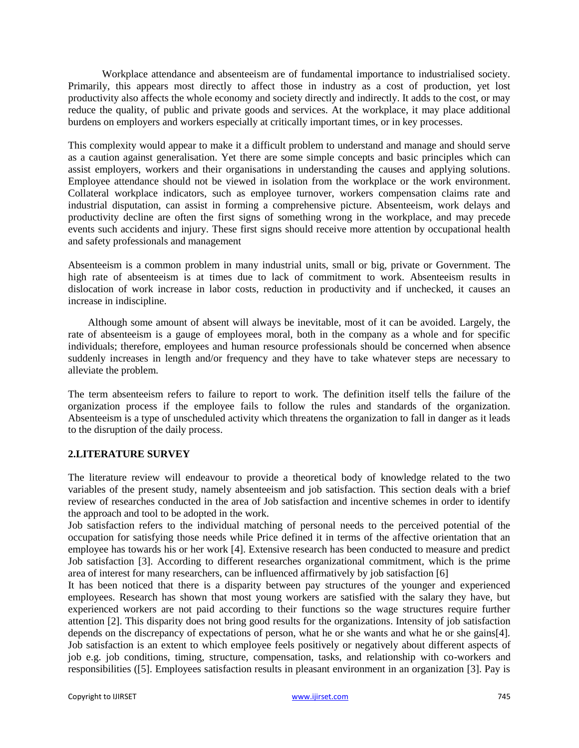Workplace attendance and absenteeism are of fundamental importance to industrialised society. Primarily, this appears most directly to affect those in industry as a cost of production, yet lost productivity also affects the whole economy and society directly and indirectly. It adds to the cost, or may reduce the quality, of public and private goods and services. At the workplace, it may place additional burdens on employers and workers especially at critically important times, or in key processes.

This complexity would appear to make it a difficult problem to understand and manage and should serve as a caution against generalisation. Yet there are some simple concepts and basic principles which can assist employers, workers and their organisations in understanding the causes and applying solutions. Employee attendance should not be viewed in isolation from the workplace or the work environment. Collateral workplace indicators, such as employee turnover, workers compensation claims rate and industrial disputation, can assist in forming a comprehensive picture. Absenteeism, work delays and productivity decline are often the first signs of something wrong in the workplace, and may precede events such accidents and injury. These first signs should receive more attention by occupational health and safety professionals and management

Absenteeism is a common problem in many industrial units, small or big, private or Government. The high rate of absenteeism is at times due to lack of commitment to work. Absenteeism results in dislocation of work increase in labor costs, reduction in productivity and if unchecked, it causes an increase in indiscipline.

Although some amount of absent will always be inevitable, most of it can be avoided. Largely, the rate of absenteeism is a gauge of employees moral, both in the company as a whole and for specific individuals; therefore, employees and human resource professionals should be concerned when absence suddenly increases in length and/or frequency and they have to take whatever steps are necessary to alleviate the problem.

The term absenteeism refers to failure to report to work. The definition itself tells the failure of the organization process if the employee fails to follow the rules and standards of the organization. Absenteeism is a type of unscheduled activity which threatens the organization to fall in danger as it leads to the disruption of the daily process.

#### **2.LITERATURE SURVEY**

The literature review will endeavour to provide a theoretical body of knowledge related to the two variables of the present study, namely absenteeism and job satisfaction. This section deals with a brief review of researches conducted in the area of Job satisfaction and incentive schemes in order to identify the approach and tool to be adopted in the work.

Job satisfaction refers to the individual matching of personal needs to the perceived potential of the occupation for satisfying those needs while Price defined it in terms of the affective orientation that an employee has towards his or her work [4]. Extensive research has been conducted to measure and predict Job satisfaction [3]. According to different researches organizational commitment, which is the prime area of interest for many researchers, can be influenced affirmatively by job satisfaction [6]

It has been noticed that there is a disparity between pay structures of the younger and experienced employees. Research has shown that most young workers are satisfied with the salary they have, but experienced workers are not paid according to their functions so the wage structures require further attention [2]. This disparity does not bring good results for the organizations. Intensity of job satisfaction depends on the discrepancy of expectations of person, what he or she wants and what he or she gains[4]. Job satisfaction is an extent to which employee feels positively or negatively about different aspects of job e.g. job conditions, timing, structure, compensation, tasks, and relationship with co-workers and responsibilities ([5]. Employees satisfaction results in pleasant environment in an organization [3]. Pay is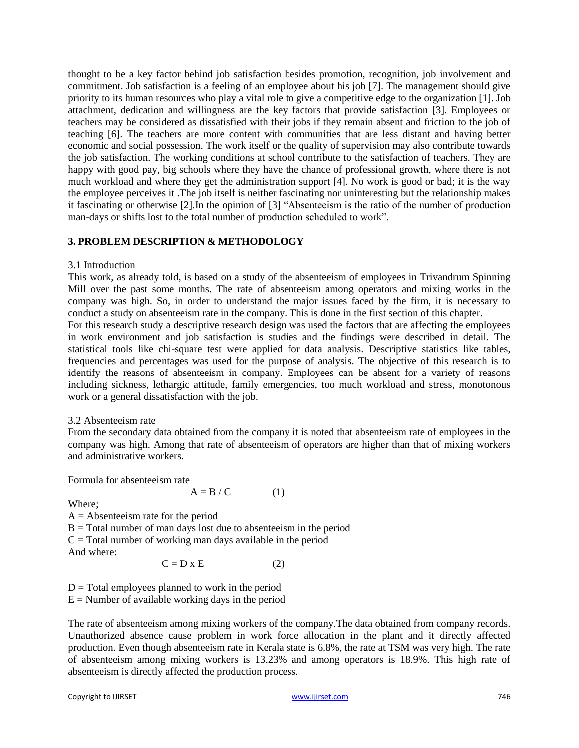thought to be a key factor behind job satisfaction besides promotion, recognition, job involvement and commitment. Job satisfaction is a feeling of an employee about his job [7]. The management should give priority to its human resources who play a vital role to give a competitive edge to the organization [1]. Job attachment, dedication and willingness are the key factors that provide satisfaction [3]. Employees or teachers may be considered as dissatisfied with their jobs if they remain absent and friction to the job of teaching [6]. The teachers are more content with communities that are less distant and having better economic and social possession. The work itself or the quality of supervision may also contribute towards the job satisfaction. The working conditions at school contribute to the satisfaction of teachers. They are happy with good pay, big schools where they have the chance of professional growth, where there is not much workload and where they get the administration support [4]. No work is good or bad; it is the way the employee perceives it .The job itself is neither fascinating nor uninteresting but the relationship makes it fascinating or otherwise [2].In the opinion of [3] "Absenteeism is the ratio of the number of production man-days or shifts lost to the total number of production scheduled to work".

#### **3. PROBLEM DESCRIPTION & METHODOLOGY**

#### 3.1 Introduction

This work, as already told, is based on a study of the absenteeism of employees in Trivandrum Spinning Mill over the past some months. The rate of absenteeism among operators and mixing works in the company was high. So, in order to understand the major issues faced by the firm, it is necessary to conduct a study on absenteeism rate in the company. This is done in the first section of this chapter. For this research study a descriptive research design was used the factors that are affecting the employees in work environment and job satisfaction is studies and the findings were described in detail. The statistical tools like chi-square test were applied for data analysis. Descriptive statistics like tables, frequencies and percentages was used for the purpose of analysis. The objective of this research is to identify the reasons of absenteeism in company. Employees can be absent for a variety of reasons including sickness, lethargic attitude, family emergencies, too much workload and stress, monotonous work or a general dissatisfaction with the job.

#### 3.2 Absenteeism rate

From the secondary data obtained from the company it is noted that absenteeism rate of employees in the company was high. Among that rate of absenteeism of operators are higher than that of mixing workers and administrative workers.

Formula for absenteeism rate

Where;

 $A =$  Absenteeism rate for the period  $B = Total number of man days lost due to absenteeism in the period$  $C = Total number of working man days available in the period$ And where:

$$
C = D \times E \tag{2}
$$

 $A = B / C$  (1)

 $D = \text{Total employees planned to work in the period}$  $E =$  Number of available working days in the period

The rate of absenteeism among mixing workers of the company.The data obtained from company records. Unauthorized absence cause problem in work force allocation in the plant and it directly affected production. Even though absenteeism rate in Kerala state is 6.8%, the rate at TSM was very high. The rate of absenteeism among mixing workers is 13.23% and among operators is 18.9%. This high rate of absenteeism is directly affected the production process.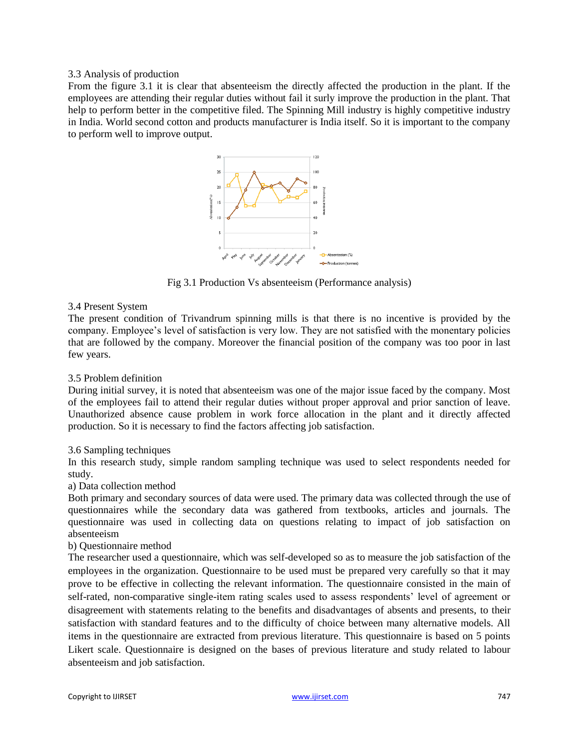#### 3.3 Analysis of production

From the figure 3.1 it is clear that absenteeism the directly affected the production in the plant. If the employees are attending their regular duties without fail it surly improve the production in the plant. That help to perform better in the competitive filed. The Spinning Mill industry is highly competitive industry in India. World second cotton and products manufacturer is India itself. So it is important to the company to perform well to improve output.



Fig 3.1 Production Vs absenteeism (Performance analysis)

#### 3.4 Present System

The present condition of Trivandrum spinning mills is that there is no incentive is provided by the company. Employee"s level of satisfaction is very low. They are not satisfied with the monentary policies that are followed by the company. Moreover the financial position of the company was too poor in last few years.

#### 3.5 Problem definition

During initial survey, it is noted that absenteeism was one of the major issue faced by the company. Most of the employees fail to attend their regular duties without proper approval and prior sanction of leave. Unauthorized absence cause problem in work force allocation in the plant and it directly affected production. So it is necessary to find the factors affecting job satisfaction.

#### 3.6 Sampling techniques

In this research study, simple random sampling technique was used to select respondents needed for study.

a) Data collection method

Both primary and secondary sources of data were used. The primary data was collected through the use of questionnaires while the secondary data was gathered from textbooks, articles and journals. The questionnaire was used in collecting data on questions relating to impact of job satisfaction on absenteeism

#### b) Questionnaire method

The researcher used a questionnaire, which was self-developed so as to measure the job satisfaction of the employees in the organization. Questionnaire to be used must be prepared very carefully so that it may prove to be effective in collecting the relevant information. The questionnaire consisted in the main of self-rated, non-comparative single-item rating scales used to assess respondents" level of agreement or disagreement with statements relating to the benefits and disadvantages of absents and presents, to their satisfaction with standard features and to the difficulty of choice between many alternative models. All items in the questionnaire are extracted from previous literature. This questionnaire is based on 5 points Likert scale. Questionnaire is designed on the bases of previous literature and study related to labour absenteeism and job satisfaction.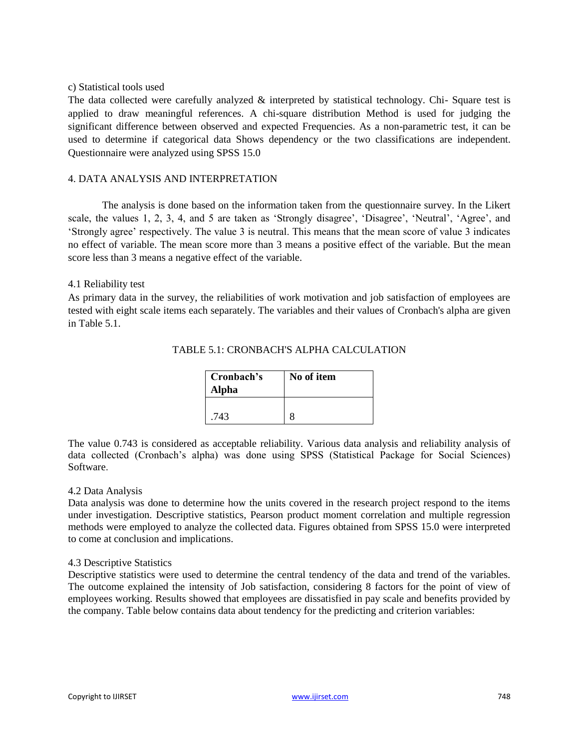#### c) Statistical tools used

The data collected were carefully analyzed & interpreted by statistical technology. Chi- Square test is applied to draw meaningful references. A chi-square distribution Method is used for judging the significant difference between observed and expected Frequencies. As a non-parametric test, it can be used to determine if categorical data Shows dependency or the two classifications are independent. Questionnaire were analyzed using SPSS 15.0

## 4. DATA ANALYSIS AND INTERPRETATION

The analysis is done based on the information taken from the questionnaire survey. In the Likert scale, the values 1, 2, 3, 4, and 5 are taken as 'Strongly disagree', 'Disagree', 'Neutral', 'Agree', and "Strongly agree" respectively. The value 3 is neutral. This means that the mean score of value 3 indicates no effect of variable. The mean score more than 3 means a positive effect of the variable. But the mean score less than 3 means a negative effect of the variable.

#### 4.1 Reliability test

As primary data in the survey, the reliabilities of work motivation and job satisfaction of employees are tested with eight scale items each separately. The variables and their values of Cronbach's alpha are given in Table 5.1.

| Cronbach's<br>Alpha | No of item |
|---------------------|------------|
| .743                |            |

#### TABLE 5.1: CRONBACH'S ALPHA CALCULATION

The value 0.743 is considered as acceptable reliability. Various data analysis and reliability analysis of data collected (Cronbach"s alpha) was done using SPSS (Statistical Package for Social Sciences) Software.

#### 4.2 Data Analysis

Data analysis was done to determine how the units covered in the research project respond to the items under investigation. Descriptive statistics, Pearson product moment correlation and multiple regression methods were employed to analyze the collected data. Figures obtained from SPSS 15.0 were interpreted to come at conclusion and implications.

#### 4.3 Descriptive Statistics

Descriptive statistics were used to determine the central tendency of the data and trend of the variables. The outcome explained the intensity of Job satisfaction, considering 8 factors for the point of view of employees working. Results showed that employees are dissatisfied in pay scale and benefits provided by the company. Table below contains data about tendency for the predicting and criterion variables: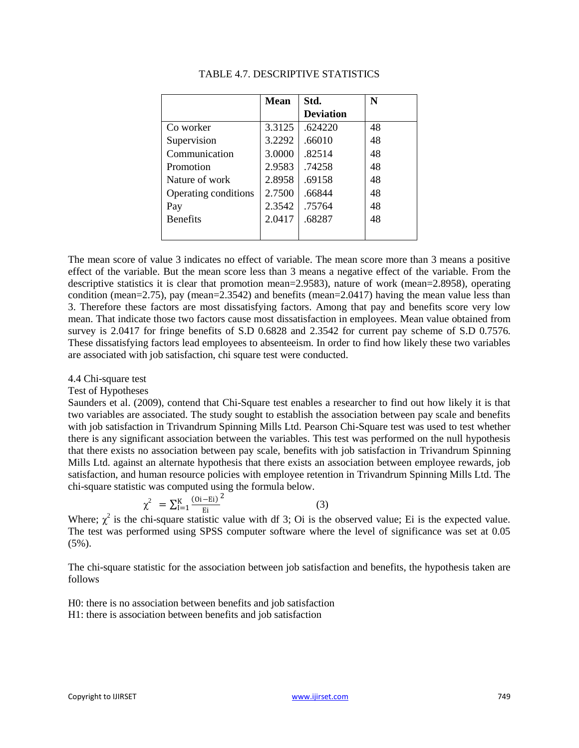|                      | <b>Mean</b> | Std.             | N  |
|----------------------|-------------|------------------|----|
|                      |             | <b>Deviation</b> |    |
| Co worker            | 3.3125      | .624220          | 48 |
| Supervision          | 3.2292      | .66010           | 48 |
| Communication        | 3.0000      | .82514           | 48 |
| Promotion            | 2.9583      | .74258           | 48 |
| Nature of work       | 2.8958      | .69158           | 48 |
| Operating conditions | 2.7500      | .66844           | 48 |
| Pay                  | 2.3542      | .75764           | 48 |
| <b>Benefits</b>      | 2.0417      | .68287           | 48 |
|                      |             |                  |    |

#### TABLE 4.7. DESCRIPTIVE STATISTICS

The mean score of value 3 indicates no effect of variable. The mean score more than 3 means a positive effect of the variable. But the mean score less than 3 means a negative effect of the variable. From the descriptive statistics it is clear that promotion mean=2.9583), nature of work (mean=2.8958), operating condition (mean=2.75), pay (mean=2.3542) and benefits (mean=2.0417) having the mean value less than 3. Therefore these factors are most dissatisfying factors. Among that pay and benefits score very low mean. That indicate those two factors cause most dissatisfaction in employees. Mean value obtained from survey is 2.0417 for fringe benefits of S.D 0.6828 and 2.3542 for current pay scheme of S.D 0.7576. These dissatisfying factors lead employees to absenteeism. In order to find how likely these two variables are associated with job satisfaction, chi square test were conducted.

4.4 Chi-square test

#### Test of Hypotheses

Saunders et al. (2009), contend that Chi-Square test enables a researcher to find out how likely it is that two variables are associated. The study sought to establish the association between pay scale and benefits with job satisfaction in Trivandrum Spinning Mills Ltd. Pearson Chi-Square test was used to test whether there is any significant association between the variables. This test was performed on the null hypothesis that there exists no association between pay scale, benefits with job satisfaction in Trivandrum Spinning Mills Ltd. against an alternate hypothesis that there exists an association between employee rewards, job satisfaction, and human resource policies with employee retention in Trivandrum Spinning Mills Ltd. The chi-square statistic was computed using the formula below.

$$
\chi^2 = \sum_{i=1}^{K} \frac{(0i - Ei)^2}{Ei}
$$
 (3)

Where;  $\chi^2$  is the chi-square statistic value with df 3; Oi is the observed value; Ei is the expected value. The test was performed using SPSS computer software where the level of significance was set at 0.05 (5%).

The chi-square statistic for the association between job satisfaction and benefits, the hypothesis taken are follows

H0: there is no association between benefits and job satisfaction H1: there is association between benefits and job satisfaction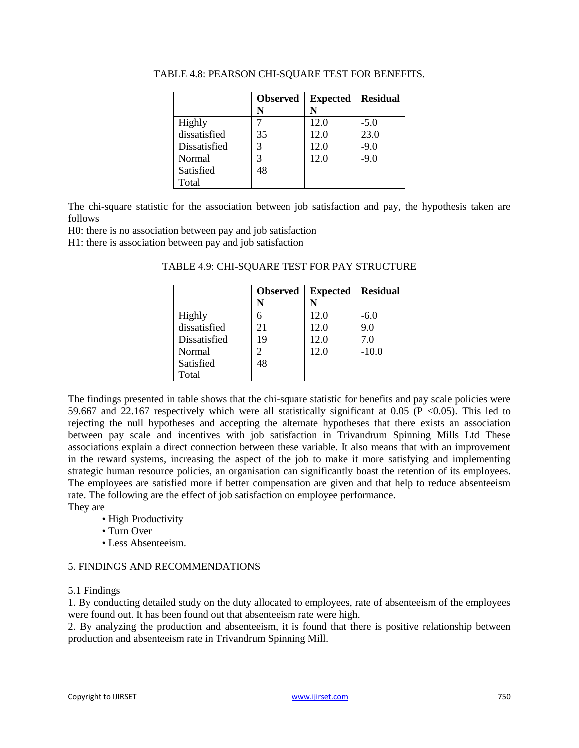|              | <b>Observed</b> | <b>Expected</b> | <b>Residual</b> |
|--------------|-----------------|-----------------|-----------------|
|              | N               |                 |                 |
| Highly       |                 | 12.0            | $-5.0$          |
| dissatisfied | 35              | 12.0            | 23.0            |
| Dissatisfied | 3               | 12.0            | $-9.0$          |
| Normal       |                 | 12.0            | $-9.0$          |
| Satisfied    | 48              |                 |                 |
| Total        |                 |                 |                 |

TABLE 4.8: PEARSON CHI-SQUARE TEST FOR BENEFITS.

The chi-square statistic for the association between job satisfaction and pay, the hypothesis taken are follows

H0: there is no association between pay and job satisfaction

H1: there is association between pay and job satisfaction

|              | <b>Observed</b> | <b>Expected</b> | <b>Residual</b> |
|--------------|-----------------|-----------------|-----------------|
|              | N               |                 |                 |
| Highly       | 6               | 12.0            | $-6.0$          |
| dissatisfied | 21              | 12.0            | 9.0             |
| Dissatisfied | 19              | 12.0            | 7.0             |
| Normal       | 2               | 12.0            | $-10.0$         |
| Satisfied    | 48              |                 |                 |
| Total        |                 |                 |                 |

TABLE 4.9: CHI-SQUARE TEST FOR PAY STRUCTURE

The findings presented in table shows that the chi-square statistic for benefits and pay scale policies were 59.667 and 22.167 respectively which were all statistically significant at 0.05 (P  $\lt$ 0.05). This led to rejecting the null hypotheses and accepting the alternate hypotheses that there exists an association between pay scale and incentives with job satisfaction in Trivandrum Spinning Mills Ltd These associations explain a direct connection between these variable. It also means that with an improvement in the reward systems, increasing the aspect of the job to make it more satisfying and implementing strategic human resource policies, an organisation can significantly boast the retention of its employees. The employees are satisfied more if better compensation are given and that help to reduce absenteeism rate. The following are the effect of job satisfaction on employee performance.

They are

- High Productivity
- Turn Over
- Less Absenteeism.

#### 5. FINDINGS AND RECOMMENDATIONS

#### 5.1 Findings

1. By conducting detailed study on the duty allocated to employees, rate of absenteeism of the employees were found out. It has been found out that absenteeism rate were high.

2. By analyzing the production and absenteeism, it is found that there is positive relationship between production and absenteeism rate in Trivandrum Spinning Mill.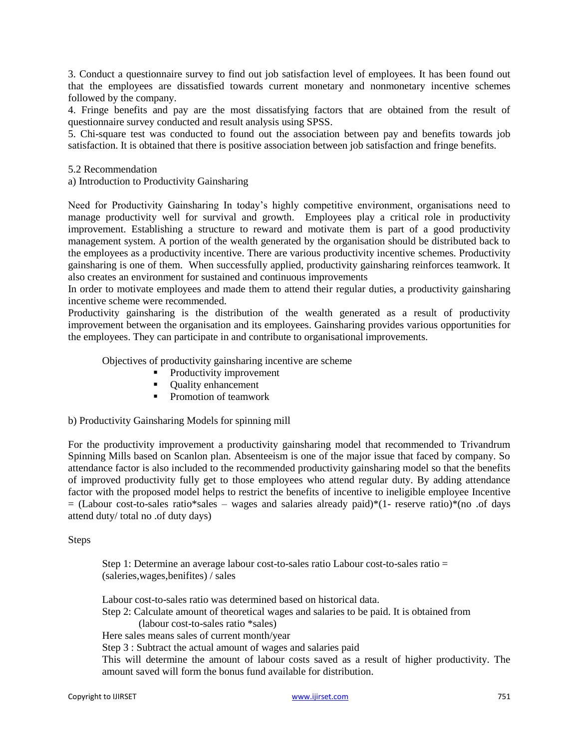3. Conduct a questionnaire survey to find out job satisfaction level of employees. It has been found out that the employees are dissatisfied towards current monetary and nonmonetary incentive schemes followed by the company.

4. Fringe benefits and pay are the most dissatisfying factors that are obtained from the result of questionnaire survey conducted and result analysis using SPSS.

5. Chi-square test was conducted to found out the association between pay and benefits towards job satisfaction. It is obtained that there is positive association between job satisfaction and fringe benefits.

5.2 Recommendation

a) Introduction to Productivity Gainsharing

Need for Productivity Gainsharing In today's highly competitive environment, organisations need to manage productivity well for survival and growth. Employees play a critical role in productivity improvement. Establishing a structure to reward and motivate them is part of a good productivity management system. A portion of the wealth generated by the organisation should be distributed back to the employees as a productivity incentive. There are various productivity incentive schemes. Productivity gainsharing is one of them. When successfully applied, productivity gainsharing reinforces teamwork. It also creates an environment for sustained and continuous improvements

In order to motivate employees and made them to attend their regular duties, a productivity gainsharing incentive scheme were recommended.

Productivity gainsharing is the distribution of the wealth generated as a result of productivity improvement between the organisation and its employees. Gainsharing provides various opportunities for the employees. They can participate in and contribute to organisational improvements.

Objectives of productivity gainsharing incentive are scheme

- Productivity improvement
- Quality enhancement
- Promotion of teamwork

b) Productivity Gainsharing Models for spinning mill

For the productivity improvement a productivity gainsharing model that recommended to Trivandrum Spinning Mills based on Scanlon plan. Absenteeism is one of the major issue that faced by company. So attendance factor is also included to the recommended productivity gainsharing model so that the benefits of improved productivity fully get to those employees who attend regular duty. By adding attendance factor with the proposed model helps to restrict the benefits of incentive to ineligible employee Incentive  $=$  (Labour cost-to-sales ratio\*sales – wages and salaries already paid)\*(1- reserve ratio)\*(no .of days attend duty/ total no .of duty days)

#### Steps

Step 1: Determine an average labour cost-to-sales ratio Labour cost-to-sales ratio = (saleries,wages,benifites) / sales

Labour cost-to-sales ratio was determined based on historical data. Step 2: Calculate amount of theoretical wages and salaries to be paid. It is obtained from (labour cost-to-sales ratio \*sales) Here sales means sales of current month/year Step 3 : Subtract the actual amount of wages and salaries paid This will determine the amount of labour costs saved as a result of higher productivity. The amount saved will form the bonus fund available for distribution.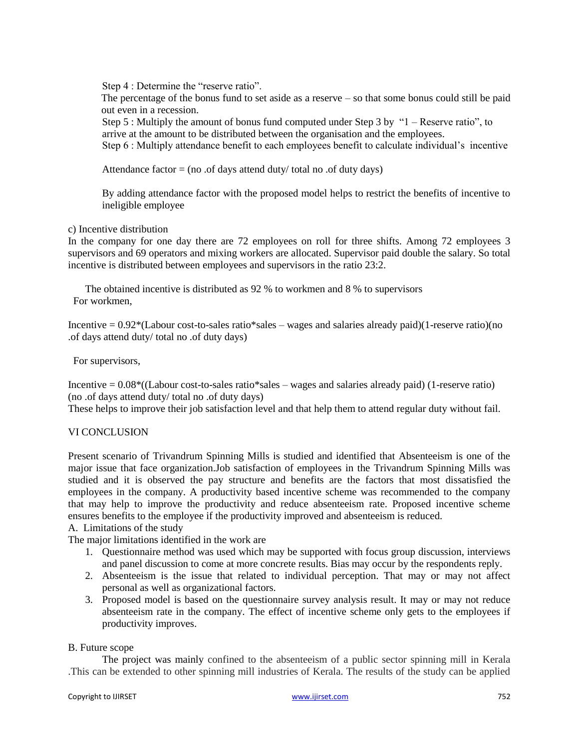Step 4 : Determine the "reserve ratio".

The percentage of the bonus fund to set aside as a reserve – so that some bonus could still be paid out even in a recession.

Step 5 : Multiply the amount of bonus fund computed under Step 3 by "1 – Reserve ratio", to arrive at the amount to be distributed between the organisation and the employees.

Step 6 : Multiply attendance benefit to each employees benefit to calculate individual's incentive

Attendance factor  $=$  (no .of days attend duty/ total no .of duty days)

By adding attendance factor with the proposed model helps to restrict the benefits of incentive to ineligible employee

#### c) Incentive distribution

In the company for one day there are 72 employees on roll for three shifts. Among 72 employees 3 supervisors and 69 operators and mixing workers are allocated. Supervisor paid double the salary. So total incentive is distributed between employees and supervisors in the ratio 23:2.

The obtained incentive is distributed as 92 % to workmen and 8 % to supervisors For workmen,

Incentive  $= 0.92*($ Labour cost-to-sales ratio\*sales – wages and salaries already paid)(1-reserve ratio)(no .of days attend duty/ total no .of duty days)

For supervisors,

Incentive  $= 0.08*($ (Labour cost-to-sales ratio\*sales – wages and salaries already paid) (1-reserve ratio) (no .of days attend duty/ total no .of duty days)

These helps to improve their job satisfaction level and that help them to attend regular duty without fail.

## VI CONCLUSION

Present scenario of Trivandrum Spinning Mills is studied and identified that Absenteeism is one of the major issue that face organization.Job satisfaction of employees in the Trivandrum Spinning Mills was studied and it is observed the pay structure and benefits are the factors that most dissatisfied the employees in the company. A productivity based incentive scheme was recommended to the company that may help to improve the productivity and reduce absenteeism rate. Proposed incentive scheme ensures benefits to the employee if the productivity improved and absenteeism is reduced.

A. Limitations of the study

The major limitations identified in the work are

- 1. Questionnaire method was used which may be supported with focus group discussion, interviews and panel discussion to come at more concrete results. Bias may occur by the respondents reply.
- 2. Absenteeism is the issue that related to individual perception. That may or may not affect personal as well as organizational factors.
- 3. Proposed model is based on the questionnaire survey analysis result. It may or may not reduce absenteeism rate in the company. The effect of incentive scheme only gets to the employees if productivity improves.

#### B. Future scope

The project was mainly confined to the absenteeism of a public sector spinning mill in Kerala .This can be extended to other spinning mill industries of Kerala. The results of the study can be applied